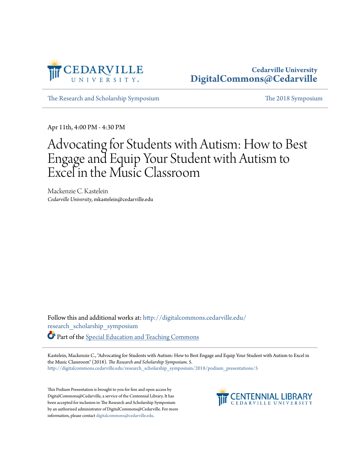

[The Research and Scholarship Symposium](http://digitalcommons.cedarville.edu/research_scholarship_symposium?utm_source=digitalcommons.cedarville.edu%2Fresearch_scholarship_symposium%2F2018%2Fpodium_presentations%2F5&utm_medium=PDF&utm_campaign=PDFCoverPages) [The 2018 Symposium](http://digitalcommons.cedarville.edu/research_scholarship_symposium/2018?utm_source=digitalcommons.cedarville.edu%2Fresearch_scholarship_symposium%2F2018%2Fpodium_presentations%2F5&utm_medium=PDF&utm_campaign=PDFCoverPages)

Apr 11th, 4:00 PM - 4:30 PM

### Advocating for Students with Autism: How to Best Engage and Equip Your Student with Autism to Excel in the Music Classroom

Mackenzie C. Kastelein *Cedarville University*, mkastelein@cedarville.edu

Follow this and additional works at: [http://digitalcommons.cedarville.edu/](http://digitalcommons.cedarville.edu/research_scholarship_symposium?utm_source=digitalcommons.cedarville.edu%2Fresearch_scholarship_symposium%2F2018%2Fpodium_presentations%2F5&utm_medium=PDF&utm_campaign=PDFCoverPages) [research\\_scholarship\\_symposium](http://digitalcommons.cedarville.edu/research_scholarship_symposium?utm_source=digitalcommons.cedarville.edu%2Fresearch_scholarship_symposium%2F2018%2Fpodium_presentations%2F5&utm_medium=PDF&utm_campaign=PDFCoverPages) Part of the [Special Education and Teaching Commons](http://network.bepress.com/hgg/discipline/801?utm_source=digitalcommons.cedarville.edu%2Fresearch_scholarship_symposium%2F2018%2Fpodium_presentations%2F5&utm_medium=PDF&utm_campaign=PDFCoverPages)

Kastelein, Mackenzie C., "Advocating for Students with Autism: How to Best Engage and Equip Your Student with Autism to Excel in the Music Classroom" (2018). *The Research and Scholarship Symposium*. 5. [http://digitalcommons.cedarville.edu/research\\_scholarship\\_symposium/2018/podium\\_presentations/5](http://digitalcommons.cedarville.edu/research_scholarship_symposium/2018/podium_presentations/5?utm_source=digitalcommons.cedarville.edu%2Fresearch_scholarship_symposium%2F2018%2Fpodium_presentations%2F5&utm_medium=PDF&utm_campaign=PDFCoverPages)

This Podium Presentation is brought to you for free and open access by DigitalCommons@Cedarville, a service of the Centennial Library. It has been accepted for inclusion in The Research and Scholarship Symposium by an authorized administrator of DigitalCommons@Cedarville. For more information, please contact [digitalcommons@cedarville.edu.](mailto:digitalcommons@cedarville.edu)

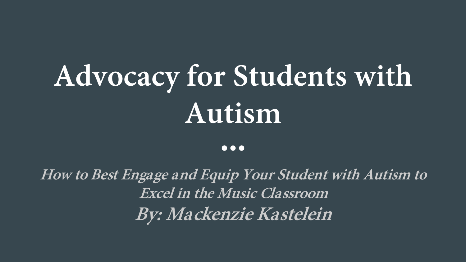# **Advocacy for Students with Autism**

#### $\bullet\bullet\bullet$

**How to Best Engage and Equip Your Student with Autism to Excel in the Music Classroom By: Mackenzie Kastelein**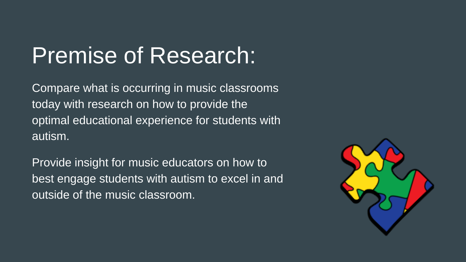# Premise of Research:

Compare what is occurring in music classrooms today with research on how to provide the optimal educational experience for students with autism.

Provide insight for music educators on how to best engage students with autism to excel in and outside of the music classroom.

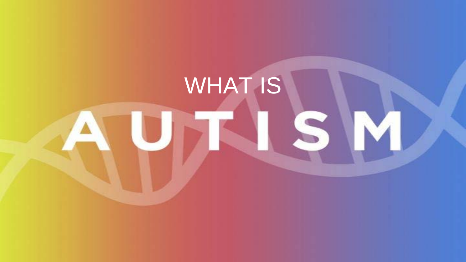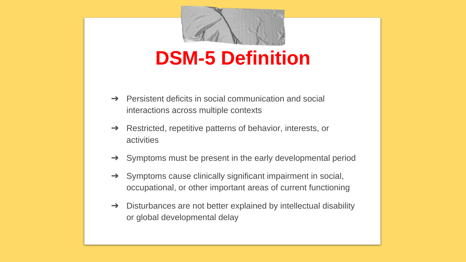

### **DSM-5 Definition**

- $\rightarrow$  Persistent deficits in social communication and social interactions across multiple contexts
- ➔ Restricted, repetitive patterns of behavior, interests, or activities
- ➔ Symptoms must be present in the early developmental period
- ➔ Symptoms cause clinically significant impairment in social, occupational, or other important areas of current functioning
- $\rightarrow$  Disturbances are not better explained by intellectual disability or global developmental delay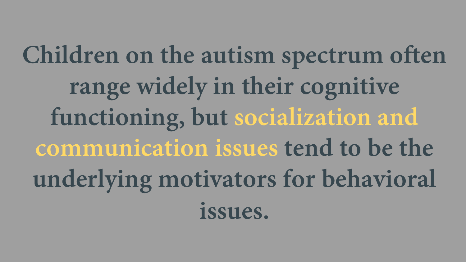**Children on the autism spectrum often range widely in their cognitive functioning, but socialization and communication issues tend to be the underlying motivators for behavioral issues.**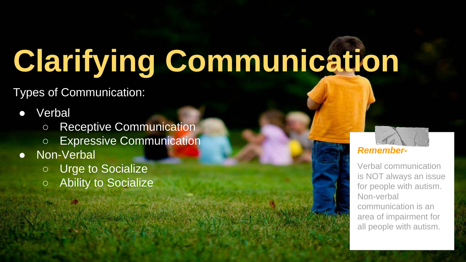# **Clarifying Communication**

Types of Communication:

#### Verbal

- Receptive Communication
- Expressive Communication
- Non-Verbal
	- **Urge to Socialize**
	- **Ability to Socialize**

#### *Remember-*

Verbal communication is NOT always an issue for people with autism. Non-verbal communication is an area of impairment for all people with autism.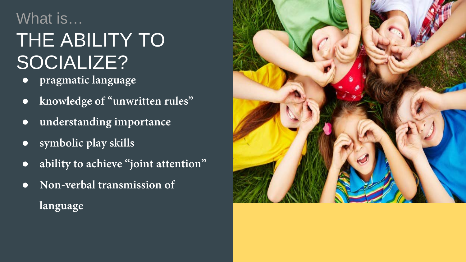### What is…

## THE ABILITY TO SOCIALIZE?

- **pragmatic language**
- **knowledge of "unwritten rules"**
- **understanding importance**
- **symbolic play skills**
- **ability to achieve "joint attention"**
- **Non-verbal transmission of language**

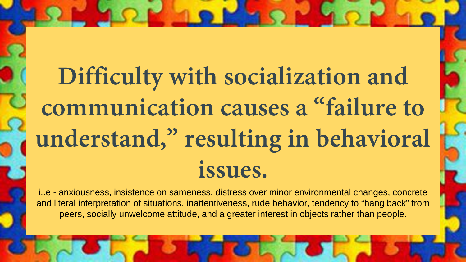# **Difficulty with socialization and communication causes a "failure to understand," resulting in behavioral issues.**

i..e - anxiousness, insistence on sameness, distress over minor environmental changes, concrete and literal interpretation of situations, inattentiveness, rude behavior, tendency to "hang back" from peers, socially unwelcome attitude, and a greater interest in objects rather than people.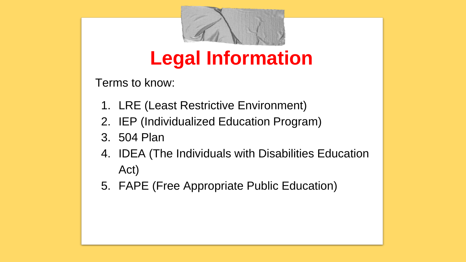

### **Legal Information**

Terms to know:

- 1. LRE (Least Restrictive Environment)
- 2. IEP (Individualized Education Program)
- 3. 504 Plan
- 4. IDEA (The Individuals with Disabilities Education Act)
- 5. FAPE (Free Appropriate Public Education)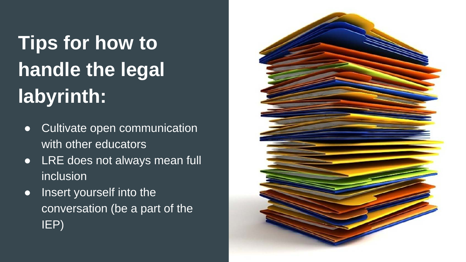# **Tips for how to handle the legal labyrinth:**

- Cultivate open communication with other educators
- LRE does not always mean full inclusion
- Insert yourself into the conversation (be a part of the IEP)

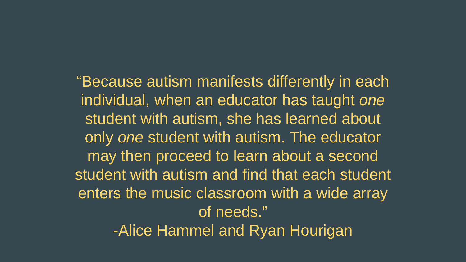"Because autism manifests differently in each individual, when an educator has taught *one*  student with autism, she has learned about only *one* student with autism. The educator may then proceed to learn about a second student with autism and find that each student enters the music classroom with a wide array of needs."

-Alice Hammel and Ryan Hourigan